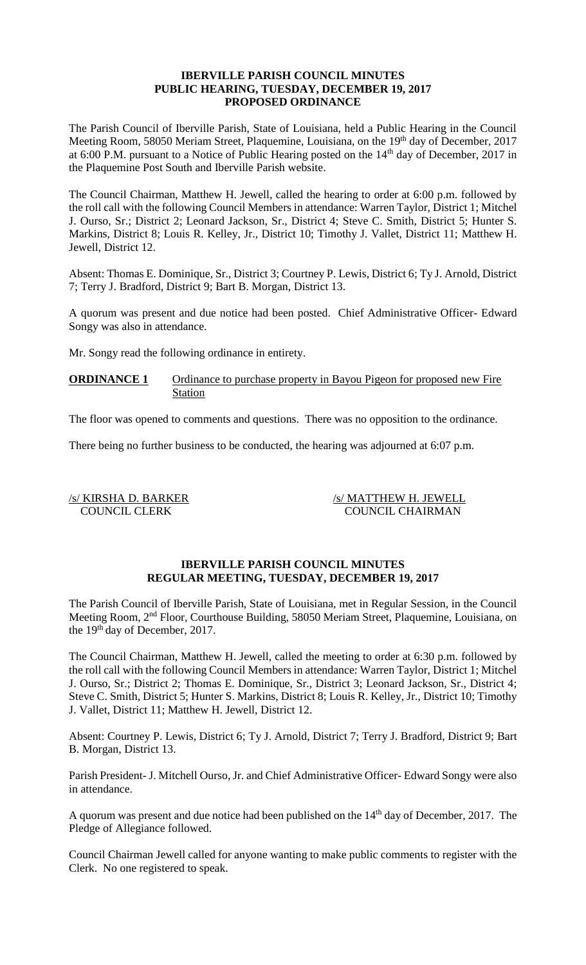### **IBERVILLE PARISH COUNCIL MINUTES PUBLIC HEARING, TUESDAY, DECEMBER 19, 2017 PROPOSED ORDINANCE**

The Parish Council of Iberville Parish, State of Louisiana, held a Public Hearing in the Council Meeting Room, 58050 Meriam Street, Plaquemine, Louisiana, on the 19<sup>th</sup> day of December, 2017 at 6:00 P.M. pursuant to a Notice of Public Hearing posted on the  $14<sup>th</sup>$  day of December, 2017 in the Plaquemine Post South and Iberville Parish website.

The Council Chairman, Matthew H. Jewell, called the hearing to order at 6:00 p.m. followed by the roll call with the following Council Members in attendance: Warren Taylor, District 1; Mitchel J. Ourso, Sr.; District 2; Leonard Jackson, Sr., District 4; Steve C. Smith, District 5; Hunter S. Markins, District 8; Louis R. Kelley, Jr., District 10; Timothy J. Vallet, District 11; Matthew H. Jewell, District 12.

Absent: Thomas E. Dominique, Sr., District 3; Courtney P. Lewis, District 6; Ty J. Arnold, District 7; Terry J. Bradford, District 9; Bart B. Morgan, District 13.

A quorum was present and due notice had been posted. Chief Administrative Officer- Edward Songy was also in attendance.

Mr. Songy read the following ordinance in entirety.

**ORDINANCE 1** Ordinance to purchase property in Bayou Pigeon for proposed new Fire Station

The floor was opened to comments and questions. There was no opposition to the ordinance.

There being no further business to be conducted, the hearing was adjourned at 6:07 p.m.

/s/ KIRSHA D. BARKER /s/ MATTHEW H. JEWELL COUNCIL CLERK COUNCIL CHAIRMAN

## **IBERVILLE PARISH COUNCIL MINUTES REGULAR MEETING, TUESDAY, DECEMBER 19, 2017**

The Parish Council of Iberville Parish, State of Louisiana, met in Regular Session, in the Council Meeting Room, 2nd Floor, Courthouse Building, 58050 Meriam Street, Plaquemine, Louisiana, on the 19<sup>th</sup> day of December, 2017.

The Council Chairman, Matthew H. Jewell, called the meeting to order at 6:30 p.m. followed by the roll call with the following Council Members in attendance: Warren Taylor, District 1; Mitchel J. Ourso, Sr.; District 2; Thomas E. Dominique, Sr., District 3; Leonard Jackson, Sr., District 4; Steve C. Smith, District 5; Hunter S. Markins, District 8; Louis R. Kelley, Jr., District 10; Timothy J. Vallet, District 11; Matthew H. Jewell, District 12.

Absent: Courtney P. Lewis, District 6; Ty J. Arnold, District 7; Terry J. Bradford, District 9; Bart B. Morgan, District 13.

Parish President- J. Mitchell Ourso, Jr. and Chief Administrative Officer- Edward Songy were also in attendance.

A quorum was present and due notice had been published on the  $14<sup>th</sup>$  day of December, 2017. The Pledge of Allegiance followed.

Council Chairman Jewell called for anyone wanting to make public comments to register with the Clerk. No one registered to speak.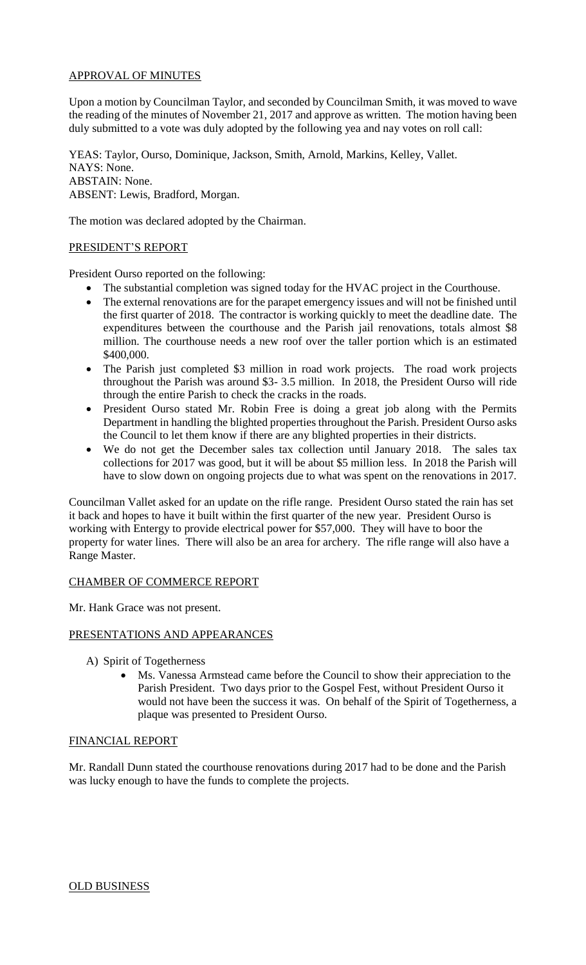# APPROVAL OF MINUTES

Upon a motion by Councilman Taylor, and seconded by Councilman Smith, it was moved to wave the reading of the minutes of November 21, 2017 and approve as written. The motion having been duly submitted to a vote was duly adopted by the following yea and nay votes on roll call:

YEAS: Taylor, Ourso, Dominique, Jackson, Smith, Arnold, Markins, Kelley, Vallet. NAYS: None. ABSTAIN: None. ABSENT: Lewis, Bradford, Morgan.

The motion was declared adopted by the Chairman.

#### PRESIDENT'S REPORT

President Ourso reported on the following:

- The substantial completion was signed today for the HVAC project in the Courthouse.
- The external renovations are for the parapet emergency issues and will not be finished until the first quarter of 2018. The contractor is working quickly to meet the deadline date. The expenditures between the courthouse and the Parish jail renovations, totals almost \$8 million. The courthouse needs a new roof over the taller portion which is an estimated \$400,000.
- The Parish just completed \$3 million in road work projects. The road work projects throughout the Parish was around \$3- 3.5 million. In 2018, the President Ourso will ride through the entire Parish to check the cracks in the roads.
- President Ourso stated Mr. Robin Free is doing a great job along with the Permits Department in handling the blighted properties throughout the Parish. President Ourso asks the Council to let them know if there are any blighted properties in their districts.
- We do not get the December sales tax collection until January 2018. The sales tax collections for 2017 was good, but it will be about \$5 million less. In 2018 the Parish will have to slow down on ongoing projects due to what was spent on the renovations in 2017.

Councilman Vallet asked for an update on the rifle range. President Ourso stated the rain has set it back and hopes to have it built within the first quarter of the new year. President Ourso is working with Entergy to provide electrical power for \$57,000. They will have to boor the property for water lines. There will also be an area for archery. The rifle range will also have a Range Master.

### CHAMBER OF COMMERCE REPORT

Mr. Hank Grace was not present.

### PRESENTATIONS AND APPEARANCES

- A) Spirit of Togetherness
	- Ms. Vanessa Armstead came before the Council to show their appreciation to the Parish President. Two days prior to the Gospel Fest, without President Ourso it would not have been the success it was. On behalf of the Spirit of Togetherness, a plaque was presented to President Ourso.

### FINANCIAL REPORT

Mr. Randall Dunn stated the courthouse renovations during 2017 had to be done and the Parish was lucky enough to have the funds to complete the projects.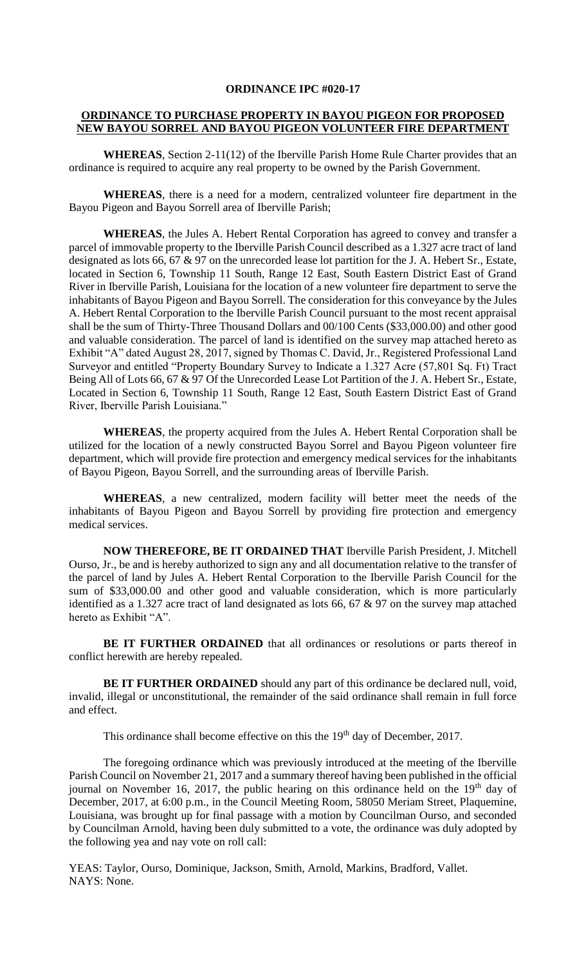#### **ORDINANCE IPC #020-17**

#### **ORDINANCE TO PURCHASE PROPERTY IN BAYOU PIGEON FOR PROPOSED NEW BAYOU SORREL AND BAYOU PIGEON VOLUNTEER FIRE DEPARTMENT**

**WHEREAS**, Section 2-11(12) of the Iberville Parish Home Rule Charter provides that an ordinance is required to acquire any real property to be owned by the Parish Government.

**WHEREAS**, there is a need for a modern, centralized volunteer fire department in the Bayou Pigeon and Bayou Sorrell area of Iberville Parish;

**WHEREAS**, the Jules A. Hebert Rental Corporation has agreed to convey and transfer a parcel of immovable property to the Iberville Parish Council described as a 1.327 acre tract of land designated as lots 66, 67 & 97 on the unrecorded lease lot partition for the J. A. Hebert Sr., Estate, located in Section 6, Township 11 South, Range 12 East, South Eastern District East of Grand River in Iberville Parish, Louisiana for the location of a new volunteer fire department to serve the inhabitants of Bayou Pigeon and Bayou Sorrell. The consideration for this conveyance by the Jules A. Hebert Rental Corporation to the Iberville Parish Council pursuant to the most recent appraisal shall be the sum of Thirty-Three Thousand Dollars and 00/100 Cents (\$33,000.00) and other good and valuable consideration. The parcel of land is identified on the survey map attached hereto as Exhibit "A" dated August 28, 2017, signed by Thomas C. David, Jr., Registered Professional Land Surveyor and entitled "Property Boundary Survey to Indicate a 1.327 Acre (57,801 Sq. Ft) Tract Being All of Lots 66, 67 & 97 Of the Unrecorded Lease Lot Partition of the J. A. Hebert Sr., Estate, Located in Section 6, Township 11 South, Range 12 East, South Eastern District East of Grand River, Iberville Parish Louisiana."

**WHEREAS**, the property acquired from the Jules A. Hebert Rental Corporation shall be utilized for the location of a newly constructed Bayou Sorrel and Bayou Pigeon volunteer fire department, which will provide fire protection and emergency medical services for the inhabitants of Bayou Pigeon, Bayou Sorrell, and the surrounding areas of Iberville Parish.

**WHEREAS**, a new centralized, modern facility will better meet the needs of the inhabitants of Bayou Pigeon and Bayou Sorrell by providing fire protection and emergency medical services.

**NOW THEREFORE, BE IT ORDAINED THAT** Iberville Parish President, J. Mitchell Ourso, Jr., be and is hereby authorized to sign any and all documentation relative to the transfer of the parcel of land by Jules A. Hebert Rental Corporation to the Iberville Parish Council for the sum of \$33,000.00 and other good and valuable consideration, which is more particularly identified as a 1.327 acre tract of land designated as lots 66, 67 & 97 on the survey map attached hereto as Exhibit "A".

**BE IT FURTHER ORDAINED** that all ordinances or resolutions or parts thereof in conflict herewith are hereby repealed.

**BE IT FURTHER ORDAINED** should any part of this ordinance be declared null, void, invalid, illegal or unconstitutional, the remainder of the said ordinance shall remain in full force and effect.

This ordinance shall become effective on this the 19<sup>th</sup> day of December, 2017.

The foregoing ordinance which was previously introduced at the meeting of the Iberville Parish Council on November 21, 2017 and a summary thereof having been published in the official journal on November 16, 2017, the public hearing on this ordinance held on the  $19<sup>th</sup>$  day of December, 2017, at 6:00 p.m., in the Council Meeting Room, 58050 Meriam Street, Plaquemine, Louisiana, was brought up for final passage with a motion by Councilman Ourso, and seconded by Councilman Arnold, having been duly submitted to a vote, the ordinance was duly adopted by the following yea and nay vote on roll call:

YEAS: Taylor, Ourso, Dominique, Jackson, Smith, Arnold, Markins, Bradford, Vallet. NAYS: None.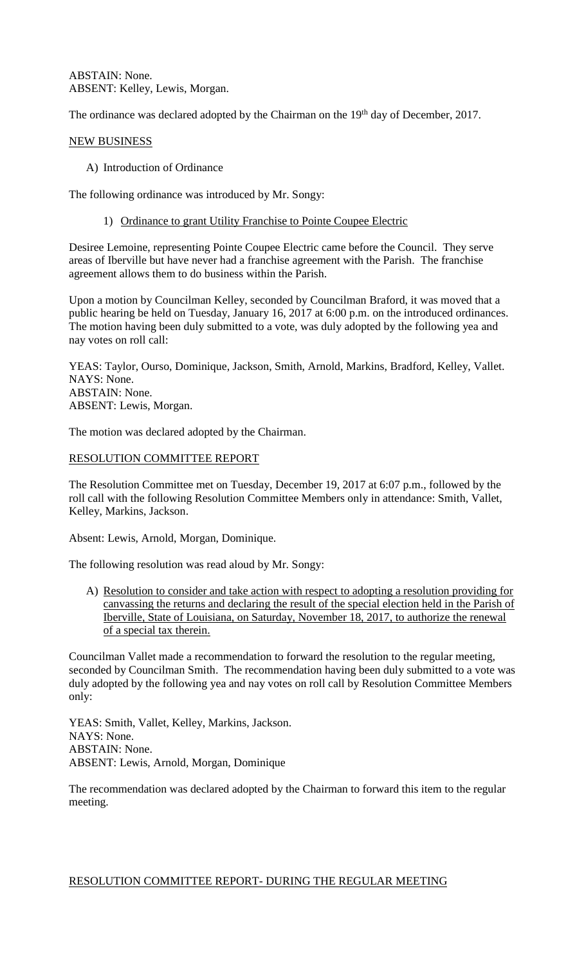ABSTAIN: None. ABSENT: Kelley, Lewis, Morgan.

The ordinance was declared adopted by the Chairman on the 19<sup>th</sup> day of December, 2017.

### NEW BUSINESS

A) Introduction of Ordinance

The following ordinance was introduced by Mr. Songy:

1) Ordinance to grant Utility Franchise to Pointe Coupee Electric

Desiree Lemoine, representing Pointe Coupee Electric came before the Council. They serve areas of Iberville but have never had a franchise agreement with the Parish. The franchise agreement allows them to do business within the Parish.

Upon a motion by Councilman Kelley, seconded by Councilman Braford, it was moved that a public hearing be held on Tuesday, January 16, 2017 at 6:00 p.m. on the introduced ordinances. The motion having been duly submitted to a vote, was duly adopted by the following yea and nay votes on roll call:

YEAS: Taylor, Ourso, Dominique, Jackson, Smith, Arnold, Markins, Bradford, Kelley, Vallet. NAYS: None. ABSTAIN: None. ABSENT: Lewis, Morgan.

The motion was declared adopted by the Chairman.

### RESOLUTION COMMITTEE REPORT

The Resolution Committee met on Tuesday, December 19, 2017 at 6:07 p.m., followed by the roll call with the following Resolution Committee Members only in attendance: Smith, Vallet, Kelley, Markins, Jackson.

Absent: Lewis, Arnold, Morgan, Dominique.

The following resolution was read aloud by Mr. Songy:

A) Resolution to consider and take action with respect to adopting a resolution providing for canvassing the returns and declaring the result of the special election held in the Parish of Iberville, State of Louisiana, on Saturday, November 18, 2017, to authorize the renewal of a special tax therein.

Councilman Vallet made a recommendation to forward the resolution to the regular meeting, seconded by Councilman Smith. The recommendation having been duly submitted to a vote was duly adopted by the following yea and nay votes on roll call by Resolution Committee Members only:

YEAS: Smith, Vallet, Kelley, Markins, Jackson. NAYS: None. ABSTAIN: None. ABSENT: Lewis, Arnold, Morgan, Dominique

The recommendation was declared adopted by the Chairman to forward this item to the regular meeting.

### RESOLUTION COMMITTEE REPORT- DURING THE REGULAR MEETING